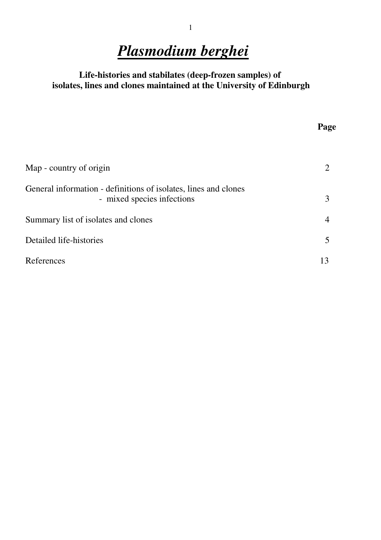# Plasmodium berghei

#### Life-histories and stabilates (deep-frozen samples) of isolates, lines and clones maintained at the University of Edinburgh

**Page Page** 

| Map - country of origin                                                                       |    |
|-----------------------------------------------------------------------------------------------|----|
| General information - definitions of isolates, lines and clones<br>- mixed species infections | 3  |
| Summary list of isolates and clones                                                           |    |
| Detailed life-histories                                                                       |    |
| References                                                                                    | 13 |

#### 1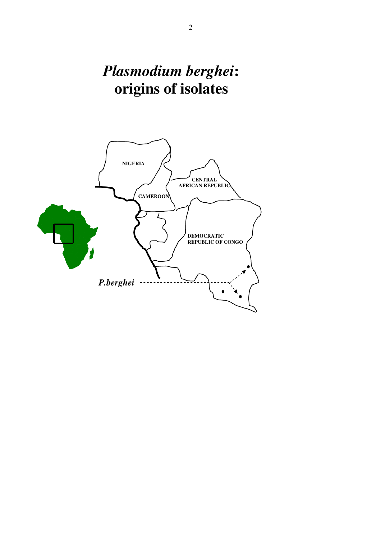# Plasmodium berghei: origins of isolates

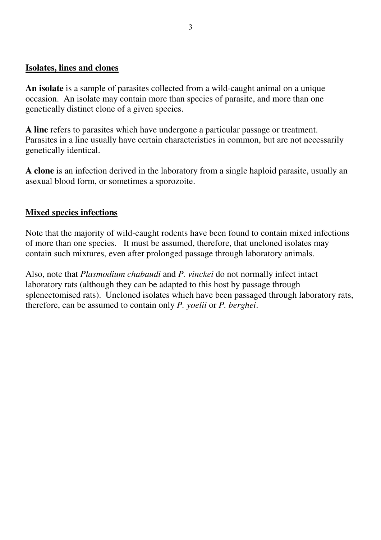#### Isolates, lines and clones

An isolate is a sample of parasites collected from a wild-caught animal on a unique occasion. An isolate may contain more than species of parasite, and more than one genetically distinct clone of a given species.

A line refers to parasites which have undergone a particular passage or treatment. Parasites in a line usually have certain characteristics in common, but are not necessarily genetically identical.

A clone is an infection derived in the laboratory from a single haploid parasite, usually an asexual blood form, or sometimes a sporozoite.

#### Mixed species infections

Note that the majority of wild-caught rodents have been found to contain mixed infections of more than one species. It must be assumed, therefore, that uncloned isolates may contain such mixtures, even after prolonged passage through laboratory animals.

Also, note that Plasmodium chabaudi and P. vinckei do not normally infect intact laboratory rats (although they can be adapted to this host by passage through splenectomised rats). Uncloned isolates which have been passaged through laboratory rats, therefore, can be assumed to contain only P. yoelii or P. berghei.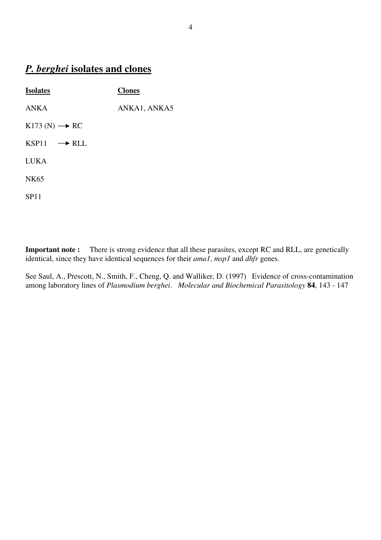# P. berghei isolates and clones

| <b>Isolates</b>             | <b>Clones</b> |
|-----------------------------|---------------|
| <b>ANKA</b>                 | ANKA1, ANKA5  |
| $K173(N) \rightarrow RC$    |               |
| $KSP11 \longrightarrow RLL$ |               |
| <b>LUKA</b>                 |               |
| <b>NK65</b>                 |               |
| <b>SP11</b>                 |               |

Important note : There is strong evidence that all these parasites, except RC and RLL, are genetically identical, since they have identical sequences for their  $amal$ ,  $msp1$  and  $dhfr$  genes.

See Saul, A., Prescott, N., Smith, F., Cheng, Q. and Walliker, D. (1997) Evidence of cross-contamination among laboratory lines of Plasmodium berghei. Molecular and Biochemical Parasitology 84, 143 - 147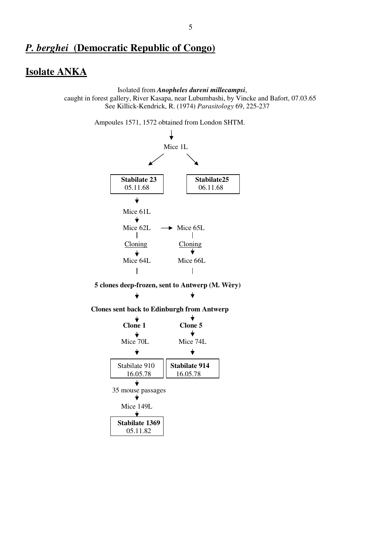#### Isolate ANKA

Isolated from Anopheles dureni millecampsi,

 caught in forest gallery, River Kasapa, near Lubumbashi, by Vincke and Bafort, 07.03.65 See Killick-Kendrick, R. (1974) Parasitology 69, 225-237

Ampoules 1571, 1572 obtained from London SHTM.

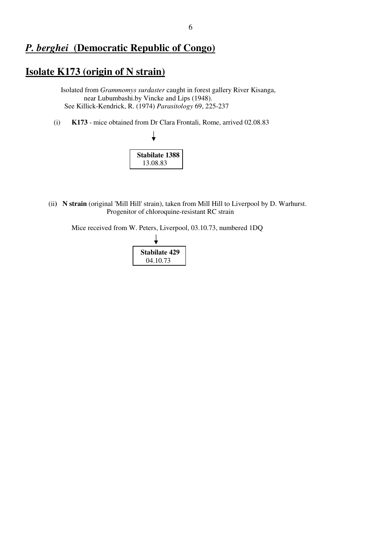#### Isolate K173 (origin of N strain)

 Isolated from Grammomys surdaster caught in forest gallery River Kisanga, near Lubumbashi.by Vincke and Lips (1948). See Killick-Kendrick, R. (1974) Parasitology 69, 225-237

(i) K173 - mice obtained from Dr Clara Frontali, Rome, arrived 02.08.83



 (ii) N strain (original 'Mill Hill' strain), taken from Mill Hill to Liverpool by D. Warhurst. Progenitor of chloroquine-resistant RC strain

Mice received from W. Peters, Liverpool, 03.10.73, numbered 1DQ

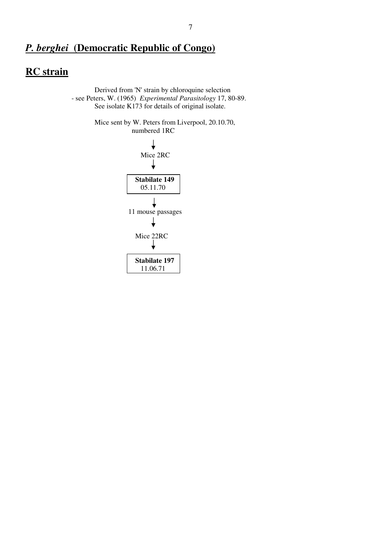### **RC** strain

 Derived from 'N' strain by chloroquine selection - see Peters, W. (1965) Experimental Parasitology 17, 80-89. See isolate K173 for details of original isolate.

> Mice sent by W. Peters from Liverpool, 20.10.70, numbered 1RC

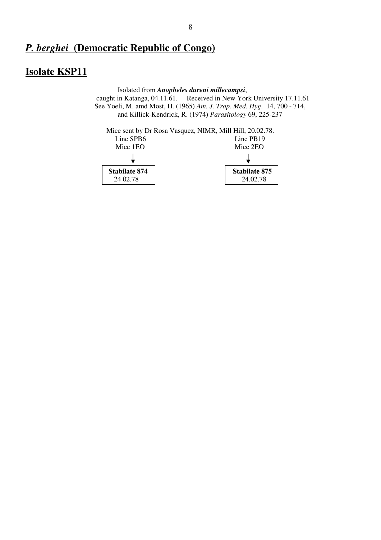## Isolate KSP11

 Isolated from Anopheles dureni millecampsi, caught in Katanga, 04.11.61. Received in New York University 17.11.61 See Yoeli, M. amd Most, H. (1965) Am. J. Trop. Med. Hyg. 14, 700 - 714, and Killick-Kendrick, R. (1974) Parasitology 69, 225-237

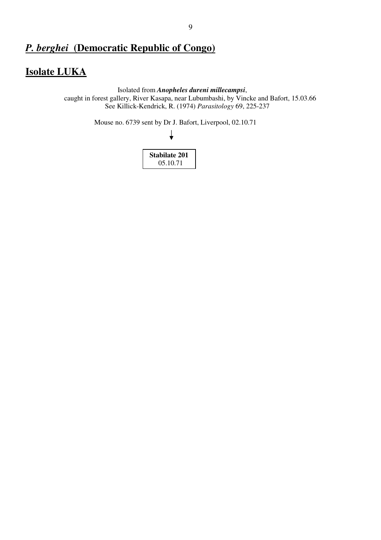### Isolate LUKA

 Isolated from Anopheles dureni millecampsi, caught in forest gallery, River Kasapa, near Lubumbashi, by Vincke and Bafort, 15.03.66 See Killick-Kendrick, R. (1974) Parasitology 69, 225-237

Mouse no. 6739 sent by Dr J. Bafort, Liverpool, 02.10.71

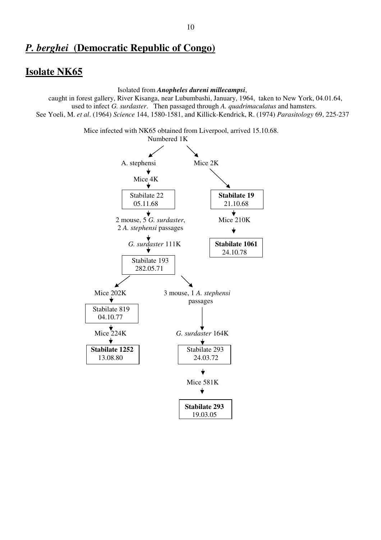#### Isolate NK65

Isolated from Anopheles dureni millecampsi,

 caught in forest gallery, River Kisanga, near Lubumbashi, January, 1964, taken to New York, 04.01.64, used to infect G. surdaster. Then passaged through A. quadrimaculatus and hamsters. See Yoeli, M. et al. (1964) Science 144, 1580-1581, and Killick-Kendrick, R. (1974) Parasitology 69, 225-237

Mice infected with NK65 obtained from Liverpool, arrived 15.10.68.

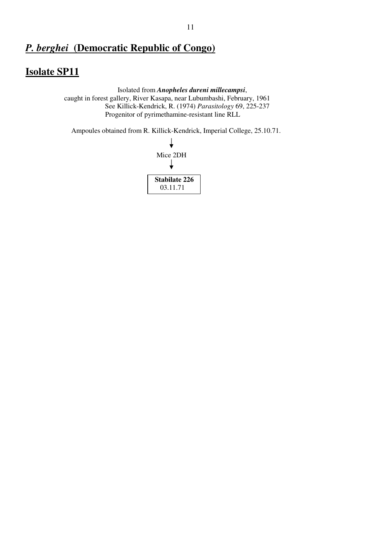### Isolate SP11

 Isolated from Anopheles dureni millecampsi, caught in forest gallery, River Kasapa, near Lubumbashi, February, 1961 See Killick-Kendrick, R. (1974) Parasitology 69, 225-237 Progenitor of pyrimethamine-resistant line RLL

Ampoules obtained from R. Killick-Kendrick, Imperial College, 25.10.71.

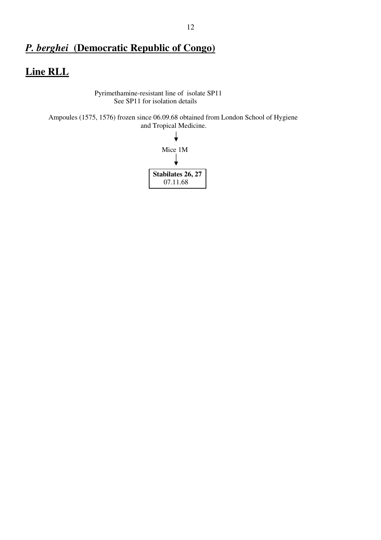## Line RLL

 Pyrimethamine-resistant line of isolate SP11 See SP11 for isolation details

 Ampoules (1575, 1576) frozen since 06.09.68 obtained from London School of Hygiene and Tropical Medicine.